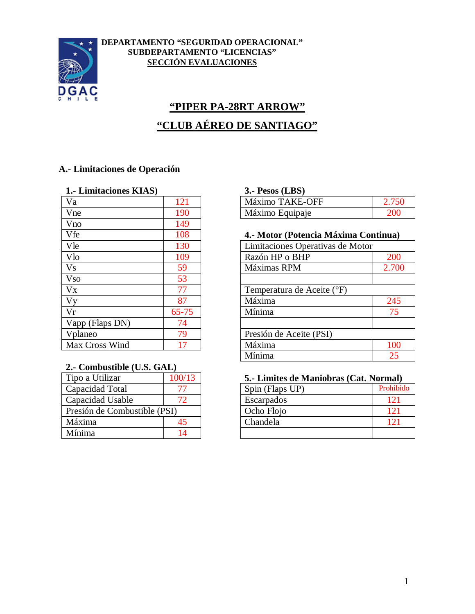

#### **DEPARTAMENTO "SEGURIDAD OPERACIONAL" SUBDEPARTAMENTO "LICENCIAS" SECCIÓN EVALUACIONES**

# **"PIPER PA-28RT ARROW"**

# **"CLUB AÉREO DE SANTIAGO"**

### **A.- Limitaciones de Operación**

#### **1.- Limitaciones KIAS) 3.- Pesos (LBS)**

| Va              | 121       | Máximo TAKE-OFF                  |
|-----------------|-----------|----------------------------------|
| Vne             | 190       | Máximo Equipaje                  |
| Vno             | 149       |                                  |
| Vfe             | 108       | 4.- Motor (Potencia Máxima Cor   |
| Vle             | 130       | Limitaciones Operativas de Motor |
| Vlo             | 109       | Razón HP o BHP                   |
| <b>Vs</b>       | 59        | Máximas RPM                      |
| <b>Vso</b>      | 53        |                                  |
| Vx              | 77        | Temperatura de Aceite (°F)       |
| Vy              | 87        | Máxima                           |
| Vr              | $65 - 75$ | Mínima                           |
| Vapp (Flaps DN) | 74        |                                  |
| Vplaneo         | 79        | Presión de Aceite (PSI)          |
| Max Cross Wind  | 17        | Máxima                           |
|                 |           |                                  |

#### **2.- Combustible (U.S. GAL)**

| Tipo a Utilizar              | 100/13 |
|------------------------------|--------|
| Capacidad Total              |        |
| Capacidad Usable             | 72     |
| Presión de Combustible (PSI) |        |
| Máxima                       | 45     |
| Mínima                       | 14     |

| Va  |     | <b>TAKE-OFF</b><br>Máximo |     |
|-----|-----|---------------------------|-----|
| Vne | 190 | Máximo Equipaje           | 200 |

#### Vfe 108 **4.- Motor (Potencia Máxima Continua)**

| Vle                      | 130       | Limitaciones Operativas de Motor |       |
|--------------------------|-----------|----------------------------------|-------|
| $\overline{\text{V}}$ lo | 109       | Razón HP o BHP                   | 200   |
| V <sub>S</sub>           | 59        | Máximas RPM                      | 2.700 |
| <b>Vso</b>               | 53        |                                  |       |
| $V_{X}$                  | 77        | Temperatura de Aceite (°F)       |       |
| $\overline{\rm Vy}$      | 87        | Máxima                           | 245   |
| Vr                       | $65 - 75$ | Mínima                           | 75    |
| Vapp (Flaps DN)          | 74        |                                  |       |
| Vplaneo                  | 79        | Presión de Aceite (PSI)          |       |
| Max Cross Wind           | 17        | Máxima                           | 100   |
|                          |           | Mínima                           | 25    |
|                          |           |                                  |       |

#### 5.- Limites de Maniobras (Cat. Normal)

| Capacidad Total              | Spin (Flaps UP) | Prohibido |
|------------------------------|-----------------|-----------|
| Capacidad Usable             | Escarpados      | 12        |
| Presión de Combustible (PSI) | Ocho Flojo      |           |
| Máxima                       | Chandela        |           |
| Mínima                       |                 |           |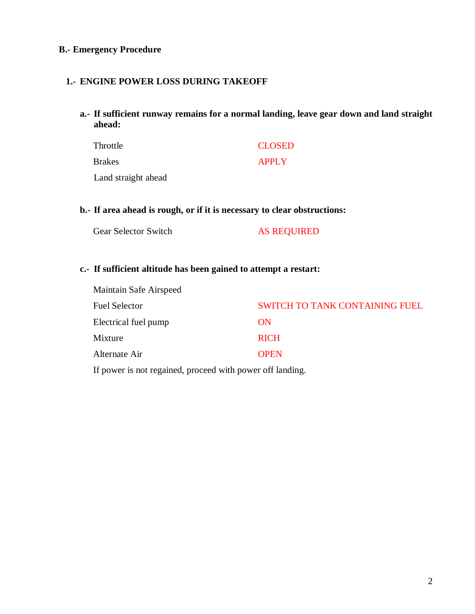#### **B.- Emergency Procedure**

#### **1.- ENGINE POWER LOSS DURING TAKEOFF**

**a.- If sufficient runway remains for a normal landing, leave gear down and land straight ahead:**

| Throttle            | <b>CLOSED</b> |
|---------------------|---------------|
| <b>Brakes</b>       | <b>APPLY</b>  |
| Land straight ahead |               |

#### **b.- If area ahead is rough, or if it is necessary to clear obstructions:**

| Gear Selector Switch | <b>AS REQUIRED</b> |
|----------------------|--------------------|
|----------------------|--------------------|

#### **c.- If sufficient altitude has been gained to attempt a restart:**

| Maintain Safe Airspeed |                                       |
|------------------------|---------------------------------------|
| <b>Fuel Selector</b>   | <b>SWITCH TO TANK CONTAINING FUEL</b> |
| Electrical fuel pump   | ON                                    |
| Mixture                | <b>RICH</b>                           |
| Alternate Air          | <b>OPEN</b>                           |

If power is not regained, proceed with power off landing.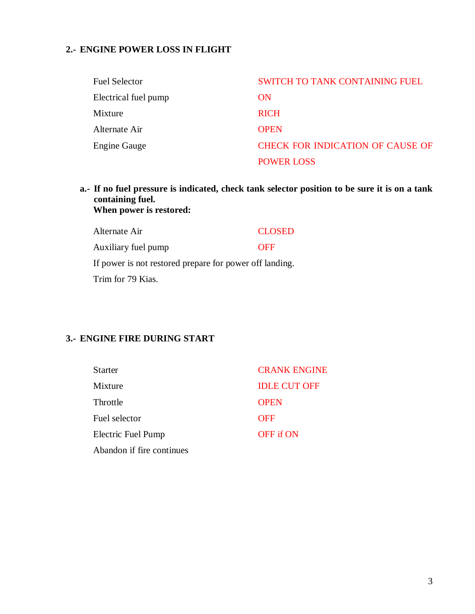## **2.- ENGINE POWER LOSS IN FLIGHT**

| <b>Fuel Selector</b> | <b>SWITCH TO TANK CONTAINING FUEL</b>   |
|----------------------|-----------------------------------------|
| Electrical fuel pump | ON                                      |
| Mixture              | <b>RICH</b>                             |
| Alternate Air        | <b>OPEN</b>                             |
| <b>Engine Gauge</b>  | <b>CHECK FOR INDICATION OF CAUSE OF</b> |
|                      | <b>POWER LOSS</b>                       |

#### **a.- If no fuel pressure is indicated, check tank selector position to be sure it is on a tank containing fuel. When power is restored:**

| Alternate Air                                           | <b>CLOSED</b> |
|---------------------------------------------------------|---------------|
| Auxiliary fuel pump                                     | <b>OFF</b>    |
| If power is not restored prepare for power off landing. |               |
| Trim for 79 Kias.                                       |               |

## **3.- ENGINE FIRE DURING START**

| <b>Starter</b>            | <b>CRANK ENGINE</b> |
|---------------------------|---------------------|
| Mixture                   | <b>IDLE CUT OFF</b> |
| Throttle                  | <b>OPEN</b>         |
| Fuel selector             | <b>OFF</b>          |
| Electric Fuel Pump        | <b>OFF</b> if ON    |
| Abandon if fire continues |                     |